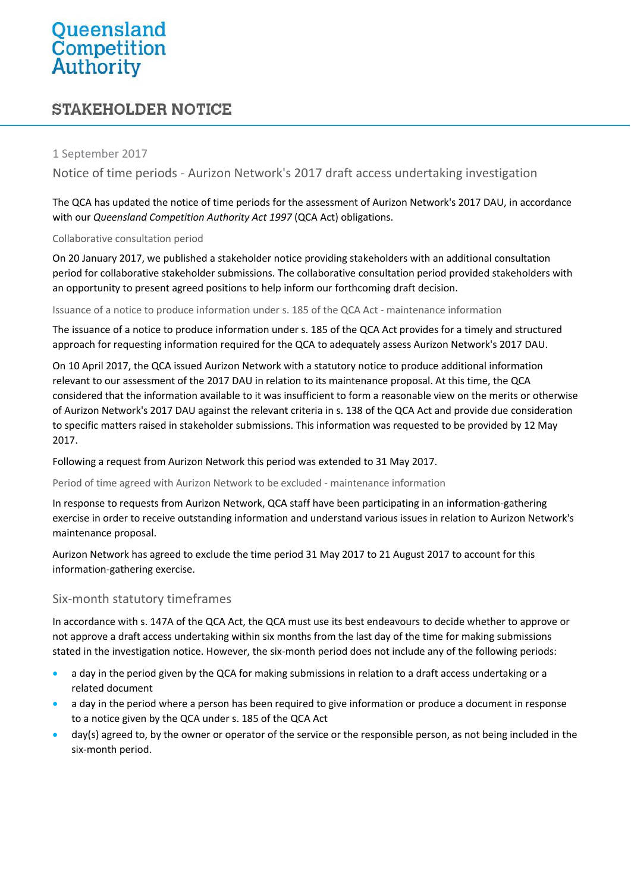# Queensland<br>Competition<br>Authority

# **STAKEHOLDER NOTICE**

#### 1 September 2017

Notice of time periods - Aurizon Network's 2017 draft access undertaking investigation

The QCA has updated the notice of time periods for the assessment of Aurizon Network's 2017 DAU, in accordance with our *Queensland Competition Authority Act 1997* (QCA Act) obligations.

#### Collaborative consultation period

On 20 January 2017, we published a stakeholder notice providing stakeholders with an additional consultation period for collaborative stakeholder submissions. The collaborative consultation period provided stakeholders with an opportunity to present agreed positions to help inform our forthcoming draft decision.

Issuance of a notice to produce information under s. 185 of the QCA Act - maintenance information

The issuance of a notice to produce information under s. 185 of the QCA Act provides for a timely and structured approach for requesting information required for the QCA to adequately assess Aurizon Network's 2017 DAU.

On 10 April 2017, the QCA issued Aurizon Network with a statutory notice to produce additional information relevant to our assessment of the 2017 DAU in relation to its maintenance proposal. At this time, the QCA considered that the information available to it was insufficient to form a reasonable view on the merits or otherwise of Aurizon Network's 2017 DAU against the relevant criteria in s. 138 of the QCA Act and provide due consideration to specific matters raised in stakeholder submissions. This information was requested to be provided by 12 May 2017.

Following a request from Aurizon Network this period was extended to 31 May 2017.

Period of time agreed with Aurizon Network to be excluded - maintenance information

In response to requests from Aurizon Network, QCA staff have been participating in an information-gathering exercise in order to receive outstanding information and understand various issues in relation to Aurizon Network's maintenance proposal.

Aurizon Network has agreed to exclude the time period 31 May 2017 to 21 August 2017 to account for this information-gathering exercise.

## Six-month statutory timeframes

In accordance with s. 147A of the QCA Act, the QCA must use its best endeavours to decide whether to approve or not approve a draft access undertaking within six months from the last day of the time for making submissions stated in the investigation notice. However, the six-month period does not include any of the following periods:

- a day in the period given by the QCA for making submissions in relation to a draft access undertaking or a related document
- a day in the period where a person has been required to give information or produce a document in response to a notice given by the QCA under s. 185 of the QCA Act
- day(s) agreed to, by the owner or operator of the service or the responsible person, as not being included in the six-month period.